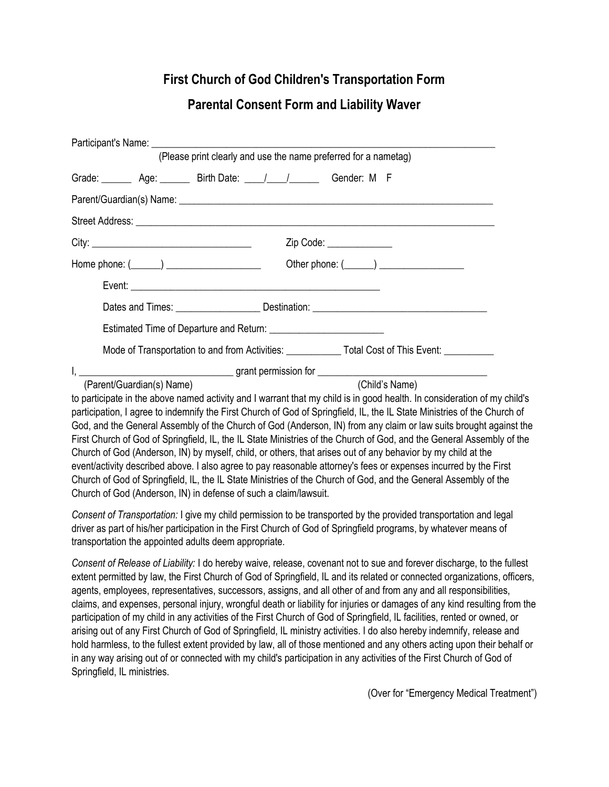## First Church of God Children's Transportation Form

## Parental Consent Form and Liability Waver

|                                                                        |  |  | (Please print clearly and use the name preferred for a nametag) |                                                                                                                          |  |
|------------------------------------------------------------------------|--|--|-----------------------------------------------------------------|--------------------------------------------------------------------------------------------------------------------------|--|
| Grade: _______ Age: _______ Birth Date: ____/____/ _______ Gender: M F |  |  |                                                                 |                                                                                                                          |  |
|                                                                        |  |  |                                                                 |                                                                                                                          |  |
|                                                                        |  |  |                                                                 |                                                                                                                          |  |
|                                                                        |  |  | Zip Code: ______________                                        |                                                                                                                          |  |
| Home phone: (______) _____________________                             |  |  |                                                                 |                                                                                                                          |  |
|                                                                        |  |  |                                                                 |                                                                                                                          |  |
|                                                                        |  |  |                                                                 |                                                                                                                          |  |
|                                                                        |  |  |                                                                 |                                                                                                                          |  |
|                                                                        |  |  |                                                                 | Mode of Transportation to and from Activities: ______________ Total Cost of This Event: ___________                      |  |
|                                                                        |  |  |                                                                 |                                                                                                                          |  |
| (Parent/Guardian(s) Name)                                              |  |  | (Child's Name)                                                  |                                                                                                                          |  |
|                                                                        |  |  |                                                                 | to participate in the above named activity and I warrant that my child is in good health. In consideration of my child's |  |
|                                                                        |  |  |                                                                 | participation, I agree to indemnify the First Church of God of Springfield, IL, the IL State Ministries of the Church of |  |
|                                                                        |  |  |                                                                 | God, and the General Assembly of the Church of God (Anderson, IN) from any claim or law suits brought against the        |  |
|                                                                        |  |  |                                                                 | First Church of God of Springfield, IL, the IL State Ministries of the Church of God, and the General Assembly of the    |  |
|                                                                        |  |  |                                                                 | Church of God (Anderson, IN) by myself, child, or others, that arises out of any behavior by my child at the             |  |
|                                                                        |  |  |                                                                 | event/activity described above. I also agree to pay reasonable attorney's fees or expenses incurred by the First         |  |
|                                                                        |  |  |                                                                 | Church of God of Springfield, IL, the IL State Ministries of the Church of God, and the General Assembly of the          |  |

Consent of Transportation: I give my child permission to be transported by the provided transportation and legal driver as part of his/her participation in the First Church of God of Springfield programs, by whatever means of transportation the appointed adults deem appropriate.

Church of God (Anderson, IN) in defense of such a claim/lawsuit.

Consent of Release of Liability: I do hereby waive, release, covenant not to sue and forever discharge, to the fullest extent permitted by law, the First Church of God of Springfield, IL and its related or connected organizations, officers, agents, employees, representatives, successors, assigns, and all other of and from any and all responsibilities, claims, and expenses, personal injury, wrongful death or liability for injuries or damages of any kind resulting from the participation of my child in any activities of the First Church of God of Springfield, IL facilities, rented or owned, or arising out of any First Church of God of Springfield, IL ministry activities. I do also hereby indemnify, release and hold harmless, to the fullest extent provided by law, all of those mentioned and any others acting upon their behalf or in any way arising out of or connected with my child's participation in any activities of the First Church of God of Springfield, IL ministries.

(Over for "Emergency Medical Treatment")